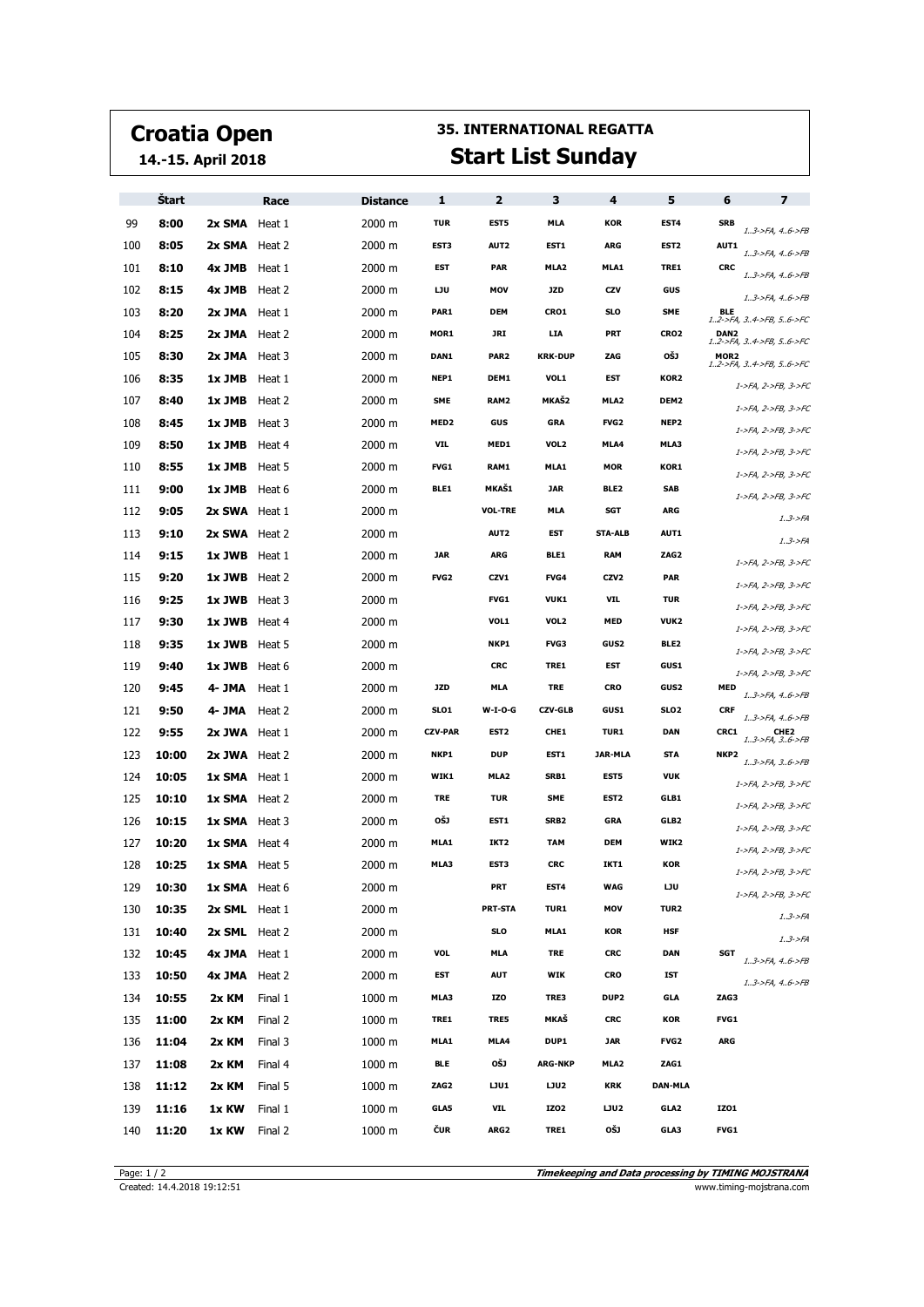## **Croatia Open**

**14.-15. April 2018**

## **35. INTERNATIONAL REGATTA Start List Sunday**

|     | <b>Start</b> |                      | Race    | <b>Distance</b> | 1                | $\overline{2}$   | з                | 4                | 5                | 6                                          | $\overline{ }$                           |
|-----|--------------|----------------------|---------|-----------------|------------------|------------------|------------------|------------------|------------------|--------------------------------------------|------------------------------------------|
| 99  | 8:00         | 2x SMA Heat 1        |         | 2000 m          | <b>TUR</b>       | EST <sub>5</sub> | <b>MLA</b>       | <b>KOR</b>       | EST4             | <b>SRB</b>                                 | $1.3$ ->FA, $4.6$ ->FB                   |
| 100 | 8:05         | 2x SMA Heat 2        |         | 2000 m          | EST3             | AUT2             | EST1             | ARG              | EST <sub>2</sub> | <b>AUT1</b>                                | 13->FA, 46->FB                           |
| 101 | 8:10         | 4x JMB Heat 1        |         | 2000 m          | EST              | <b>PAR</b>       | MLA2             | MLA1             | TRE1             | <b>CRC</b>                                 | 13->FA, 46->FB                           |
| 102 | 8:15         | 4x JMB Heat 2        |         | 2000 m          | LJU              | MOV              | <b>JZD</b>       | CZV              | GUS              |                                            | $13$ ->FA, $46$ ->FB                     |
| 103 | 8:20         | 2x JMA Heat 1        |         | 2000 m          | PAR1             | <b>DEM</b>       | <b>CRO1</b>      | SLO              | <b>SME</b>       | <b>BLE</b><br>12->FA, 34->FB, 56->FC       |                                          |
| 104 | 8:25         | 2x JMA Heat 2        |         | 2000 m          | MOR1             | JRI              | <b>LIA</b>       | PRT              | CRO <sub>2</sub> | DAN <sub>2</sub><br>12->FA, 34->FB, 56->FC |                                          |
| 105 | 8:30         | 2x JMA Heat 3        |         | 2000 m          | DAN1             | PAR <sub>2</sub> | <b>KRK-DUP</b>   | ZAG              | OŠJ              | MOR <sub>2</sub><br>12->FA, 34->FB, 56->FC |                                          |
| 106 | 8:35         | 1x JMB               | Heat 1  | 2000 m          | NEP1             | DEM1             | VOL1             | EST              | KOR2             |                                            | 1->FA, 2->FB, 3->FC                      |
| 107 | 8:40         | 1x JMB Heat 2        |         | 2000 m          | <b>SME</b>       | RAM2             | <b>MKAŠ2</b>     | MLA <sub>2</sub> | DEM <sub>2</sub> |                                            | 1->FA, 2->FB, 3->FC                      |
| 108 | 8:45         | 1x JMB Heat 3        |         | 2000 m          | MED <sub>2</sub> | GUS              | <b>GRA</b>       | <b>FVG2</b>      | NEP <sub>2</sub> |                                            | 1->FA, 2->FB, 3->FC                      |
| 109 | 8:50         | <b>1x JMB</b> Heat 4 |         | 2000 m          | VIL              | MED1             | VOL2             | MLA4             | MLA3             |                                            | 1->FA, 2->FB, 3->FC                      |
| 110 | 8:55         | <b>1x JMB</b> Heat 5 |         | 2000 m          | <b>FVG1</b>      | RAM1             | MLA1             | <b>MOR</b>       | KOR1             |                                            | 1->FA, 2->FB, 3->FC                      |
| 111 | 9:00         | 1x JMB               | Heat 6  | 2000 m          | BLE1             | <b>MKAŠ1</b>     | <b>JAR</b>       | BLE2             | <b>SAB</b>       |                                            | 1->FA, 2->FB, 3->FC                      |
| 112 | 9:05         | 2x SWA Heat 1        |         | 2000 m          |                  | <b>VOL-TRE</b>   | <b>MLA</b>       | SGT              | <b>ARG</b>       |                                            | $1.3 - F A$                              |
| 113 | 9:10         | 2x SWA Heat 2        |         | 2000 m          |                  | AUT2             | EST              | <b>STA-ALB</b>   | <b>AUT1</b>      |                                            | 13->FA                                   |
| 114 | 9:15         | $1x$ JWB Heat 1      |         | 2000 m          | <b>JAR</b>       | ARG              | BLE1             | <b>RAM</b>       | ZAG <sub>2</sub> |                                            | 1->FA, 2->FB, 3->FC                      |
| 115 | 9:20         | 1x JWB Heat 2        |         | 2000 m          | <b>FVG2</b>      | CZV1             | FVG4             | CZV <sub>2</sub> | <b>PAR</b>       |                                            | 1->FA, 2->FB, 3->FC                      |
| 116 | 9:25         | 1x JWB Heat 3        |         | 2000 m          |                  | <b>FVG1</b>      | <b>VUK1</b>      | VIL              | <b>TUR</b>       |                                            | 1->FA, 2->FB, 3->FC                      |
| 117 | 9:30         | 1x JWB Heat 4        |         | 2000 m          |                  | VOL1             | VOL2             | <b>MED</b>       | VUK2             |                                            | 1->FA, 2->FB, 3->FC                      |
| 118 | 9:35         | <b>1x JWB</b> Heat 5 |         | 2000 m          |                  | NKP1             | <b>FVG3</b>      | GUS2             | BLE2             |                                            | 1->FA, 2->FB, 3->FC                      |
| 119 | 9:40         | <b>1x JWB</b> Heat 6 |         | 2000 m          |                  | <b>CRC</b>       | TRE1             | EST              | <b>GUS1</b>      |                                            | 1->FA, 2->FB, 3->FC                      |
| 120 | 9:45         | 4- JMA               | Heat 1  | 2000 m          | <b>JZD</b>       | MLA              | <b>TRE</b>       | CRO              | GUS2             | MED                                        | $13$ ->FA, $46$ ->FB                     |
| 121 | 9:50         | 4- JMA Heat 2        |         | 2000 m          | SLO1             | <b>W-I-O-G</b>   | <b>CZV-GLB</b>   | <b>GUS1</b>      | SLO <sub>2</sub> | <b>CRF</b>                                 | 13->FA, 46->FB                           |
| 122 | 9:55         | 2x JWA Heat 1        |         | 2000 m          | <b>CZV-PAR</b>   | EST <sub>2</sub> | CHE1             | <b>TUR1</b>      | <b>DAN</b>       | CRC1                                       | CHE <sub>2</sub><br>$13$ ->FA, $36$ ->FB |
| 123 | 10:00        | 2x JWA Heat 2        |         | 2000 m          | NKP1             | <b>DUP</b>       | EST1             | JAR-MLA          | <b>STA</b>       | NKP <sub>2</sub>                           | 13->FA, 36->FB                           |
| 124 | 10:05        | <b>1x SMA</b> Heat 1 |         | 2000 m          | WIK1             | MLA <sub>2</sub> | SRB1             | EST5             | <b>VUK</b>       |                                            | 1->FA, 2->FB, 3->FC                      |
| 125 | 10:10        | <b>1x SMA</b> Heat 2 |         | 2000 m          | <b>TRE</b>       | <b>TUR</b>       | <b>SME</b>       | EST <sub>2</sub> | GLB1             |                                            | 1->FA, 2->FB, 3->FC                      |
| 126 | 10:15        | <b>1x SMA</b> Heat 3 |         | 2000 m          | OŠJ              | EST1             | SRB <sub>2</sub> | <b>GRA</b>       | GLB <sub>2</sub> |                                            | 1->FA, 2->FB, 3->FC                      |
| 127 | 10:20        | 1x SMA Heat 4        |         | 2000 m          | MLA1             | IKT <sub>2</sub> | <b>TAM</b>       | <b>DEM</b>       | WIK2             |                                            | 1->FA, 2->FB, 3->FC                      |
| 128 | 10:25        | <b>1x SMA</b> Heat 5 |         | 2000 m          | MLA3             | EST3             | <b>CRC</b>       | IKT1             | <b>KOR</b>       |                                            | 1->FA, 2->FB, 3->FC                      |
| 129 | 10:30        | 1x SMA Heat 6        |         | 2000 m          |                  | PRT              | EST4             | WAG              | IJU              |                                            | 1->FA, 2->FB, 3->FC                      |
| 130 | 10:35        | 2x SML Heat 1        |         | 2000 m          |                  | <b>PRT-STA</b>   | <b>TUR1</b>      | MOV              | TUR <sub>2</sub> |                                            | 1.3 > F A                                |
| 131 | 10:40        | 2x SML Heat 2        |         | 2000 m          |                  | SLO              | MLA1             | KOR              | <b>HSF</b>       |                                            | $1.3 - F A$                              |
| 132 | 10:45        | 4x JMA Heat 1        |         | 2000 m          | <b>VOL</b>       | <b>MLA</b>       | <b>TRE</b>       | <b>CRC</b>       | <b>DAN</b>       | <b>SGT</b>                                 | 13->FA, 46->FB                           |
| 133 | 10:50        | 4x JMA Heat 2        |         | 2000 m          | EST              | <b>AUT</b>       | WIK              | <b>CRO</b>       | IST              |                                            | 13->FA, 46->FB                           |
| 134 | 10:55        | 2x KM                | Final 1 | 1000 m          | MLA3             | IZO              | TRE3             | DUP2             | <b>GLA</b>       | ZAG3                                       |                                          |
| 135 | 11:00        | 2x KM                | Final 2 | 1000 m          | TRE1             | TRE5             | MKAŠ             | <b>CRC</b>       | <b>KOR</b>       | FVG1                                       |                                          |
| 136 | 11:04        | 2x KM                | Final 3 | 1000 m          | MLA1             | MLA4             | DUP1             | <b>JAR</b>       | <b>FVG2</b>      | ARG                                        |                                          |
| 137 | 11:08        | 2x KM                | Final 4 | 1000 m          | <b>BLE</b>       | OŠJ              | <b>ARG-NKP</b>   | MLA <sub>2</sub> | ZAG1             |                                            |                                          |
| 138 | 11:12        | 2x KM                | Final 5 | 1000 m          | ZAG2             | LJU1             | LJU2             | <b>KRK</b>       | <b>DAN-MLA</b>   |                                            |                                          |
| 139 | 11:16        | 1x KW                | Final 1 | 1000 m          | GLA5             | <b>VIL</b>       | IZ02             | LJU2             | GLA2             | IZ01                                       |                                          |
| 140 | 11:20        | 1x KW                | Final 2 | 1000 m          | ČUR              | ARG2             | TRE1             | OŠJ              | GLA3             | FVG1                                       |                                          |

**Timekeeping and Data processing by TIMING MOJSTRANA** Page: 1 / 2<br>Created: 14.4.2018 19:12:51 **Timekeeping and Data processing by TIMING MOJSTRANA**<br>www.timing-mojstrana.com